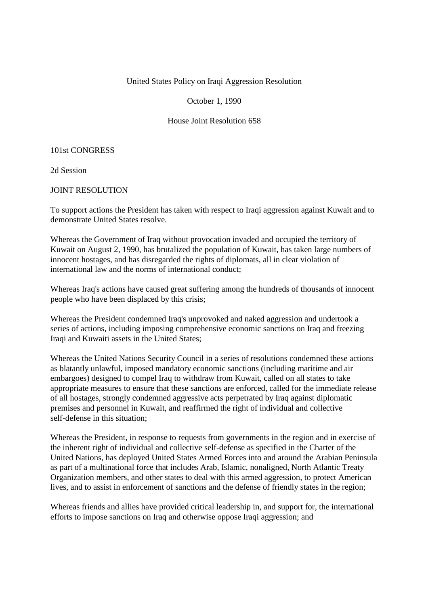# United States Policy on Iraqi Aggression Resolution

October 1, 1990

House Joint Resolution 658

#### 101st CONGRESS

2d Session

# JOINT RESOLUTION

To support actions the President has taken with respect to Iraqi aggression against Kuwait and to demonstrate United States resolve.

Whereas the Government of Iraq without provocation invaded and occupied the territory of Kuwait on August 2, 1990, has brutalized the population of Kuwait, has taken large numbers of innocent hostages, and has disregarded the rights of diplomats, all in clear violation of international law and the norms of international conduct;

Whereas Iraq's actions have caused great suffering among the hundreds of thousands of innocent people who have been displaced by this crisis;

Whereas the President condemned Iraq's unprovoked and naked aggression and undertook a series of actions, including imposing comprehensive economic sanctions on Iraq and freezing Iraqi and Kuwaiti assets in the United States;

Whereas the United Nations Security Council in a series of resolutions condemned these actions as blatantly unlawful, imposed mandatory economic sanctions (including maritime and air embargoes) designed to compel Iraq to withdraw from Kuwait, called on all states to take appropriate measures to ensure that these sanctions are enforced, called for the immediate release of all hostages, strongly condemned aggressive acts perpetrated by Iraq against diplomatic premises and personnel in Kuwait, and reaffirmed the right of individual and collective self-defense in this situation;

Whereas the President, in response to requests from governments in the region and in exercise of the inherent right of individual and collective self-defense as specified in the Charter of the United Nations, has deployed United States Armed Forces into and around the Arabian Peninsula as part of a multinational force that includes Arab, Islamic, nonaligned, North Atlantic Treaty Organization members, and other states to deal with this armed aggression, to protect American lives, and to assist in enforcement of sanctions and the defense of friendly states in the region;

Whereas friends and allies have provided critical leadership in, and support for, the international efforts to impose sanctions on Iraq and otherwise oppose Iraqi aggression; and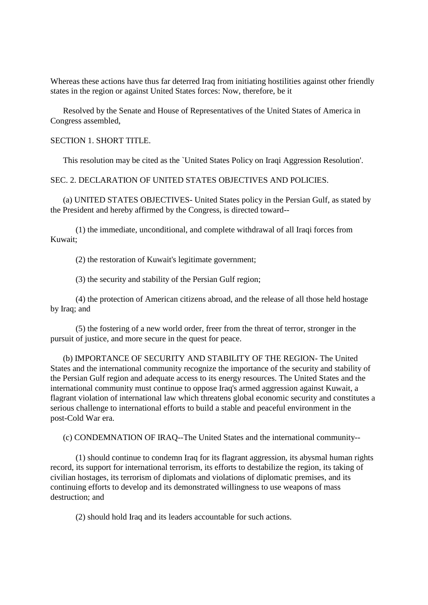Whereas these actions have thus far deterred Iraq from initiating hostilities against other friendly states in the region or against United States forces: Now, therefore, be it

Resolved by the Senate and House of Representatives of the United States of America in Congress assembled,

# SECTION 1. SHORT TITLE.

This resolution may be cited as the `United States Policy on Iraqi Aggression Resolution'.

### SEC. 2. DECLARATION OF UNITED STATES OBJECTIVES AND POLICIES.

(a) UNITED STATES OBJECTIVES- United States policy in the Persian Gulf, as stated by the President and hereby affirmed by the Congress, is directed toward--

(1) the immediate, unconditional, and complete withdrawal of all Iraqi forces from Kuwait;

(2) the restoration of Kuwait's legitimate government;

(3) the security and stability of the Persian Gulf region;

(4) the protection of American citizens abroad, and the release of all those held hostage by Iraq; and

(5) the fostering of a new world order, freer from the threat of terror, stronger in the pursuit of justice, and more secure in the quest for peace.

(b) IMPORTANCE OF SECURITY AND STABILITY OF THE REGION- The United States and the international community recognize the importance of the security and stability of the Persian Gulf region and adequate access to its energy resources. The United States and the international community must continue to oppose Iraq's armed aggression against Kuwait, a flagrant violation of international law which threatens global economic security and constitutes a serious challenge to international efforts to build a stable and peaceful environment in the post-Cold War era.

(c) CONDEMNATION OF IRAQ--The United States and the international community--

(1) should continue to condemn Iraq for its flagrant aggression, its abysmal human rights record, its support for international terrorism, its efforts to destabilize the region, its taking of civilian hostages, its terrorism of diplomats and violations of diplomatic premises, and its continuing efforts to develop and its demonstrated willingness to use weapons of mass destruction; and

(2) should hold Iraq and its leaders accountable for such actions.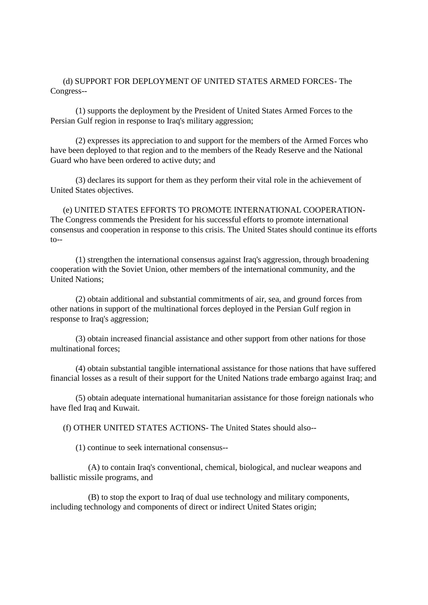(d) SUPPORT FOR DEPLOYMENT OF UNITED STATES ARMED FORCES- The Congress--

(1) supports the deployment by the President of United States Armed Forces to the Persian Gulf region in response to Iraq's military aggression;

(2) expresses its appreciation to and support for the members of the Armed Forces who have been deployed to that region and to the members of the Ready Reserve and the National Guard who have been ordered to active duty; and

(3) declares its support for them as they perform their vital role in the achievement of United States objectives.

(e) UNITED STATES EFFORTS TO PROMOTE INTERNATIONAL COOPERATION-The Congress commends the President for his successful efforts to promote international consensus and cooperation in response to this crisis. The United States should continue its efforts  $to--$ 

(1) strengthen the international consensus against Iraq's aggression, through broadening cooperation with the Soviet Union, other members of the international community, and the United Nations;

(2) obtain additional and substantial commitments of air, sea, and ground forces from other nations in support of the multinational forces deployed in the Persian Gulf region in response to Iraq's aggression;

(3) obtain increased financial assistance and other support from other nations for those multinational forces;

(4) obtain substantial tangible international assistance for those nations that have suffered financial losses as a result of their support for the United Nations trade embargo against Iraq; and

(5) obtain adequate international humanitarian assistance for those foreign nationals who have fled Iraq and Kuwait.

(f) OTHER UNITED STATES ACTIONS- The United States should also--

(1) continue to seek international consensus--

(A) to contain Iraq's conventional, chemical, biological, and nuclear weapons and ballistic missile programs, and

(B) to stop the export to Iraq of dual use technology and military components, including technology and components of direct or indirect United States origin;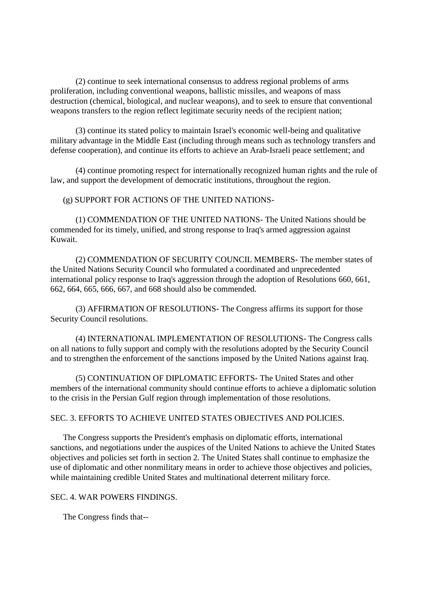(2) continue to seek international consensus to address regional problems of arms proliferation, including conventional weapons, ballistic missiles, and weapons of mass destruction (chemical, biological, and nuclear weapons), and to seek to ensure that conventional weapons transfers to the region reflect legitimate security needs of the recipient nation;

(3) continue its stated policy to maintain Israel's economic well-being and qualitative military advantage in the Middle East (including through means such as technology transfers and defense cooperation), and continue its efforts to achieve an Arab-Israeli peace settlement; and

(4) continue promoting respect for internationally recognized human rights and the rule of law, and support the development of democratic institutions, throughout the region.

(g) SUPPORT FOR ACTIONS OF THE UNITED NATIONS-

(1) COMMENDATION OF THE UNITED NATIONS- The United Nations should be commended for its timely, unified, and strong response to Iraq's armed aggression against Kuwait.

(2) COMMENDATION OF SECURITY COUNCIL MEMBERS- The member states of the United Nations Security Council who formulated a coordinated and unprecedented international policy response to Iraq's aggression through the adoption of Resolutions 660, 661, 662, 664, 665, 666, 667, and 668 should also be commended.

(3) AFFIRMATION OF RESOLUTIONS- The Congress affirms its support for those Security Council resolutions.

(4) INTERNATIONAL IMPLEMENTATION OF RESOLUTIONS- The Congress calls on all nations to fully support and comply with the resolutions adopted by the Security Council and to strengthen the enforcement of the sanctions imposed by the United Nations against Iraq.

(5) CONTINUATION OF DIPLOMATIC EFFORTS- The United States and other members of the international community should continue efforts to achieve a diplomatic solution to the crisis in the Persian Gulf region through implementation of those resolutions.

#### SEC. 3. EFFORTS TO ACHIEVE UNITED STATES OBJECTIVES AND POLICIES.

The Congress supports the President's emphasis on diplomatic efforts, international sanctions, and negotiations under the auspices of the United Nations to achieve the United States objectives and policies set forth in section 2. The United States shall continue to emphasize the use of diplomatic and other nonmilitary means in order to achieve those objectives and policies, while maintaining credible United States and multinational deterrent military force.

#### SEC. 4. WAR POWERS FINDINGS.

The Congress finds that--